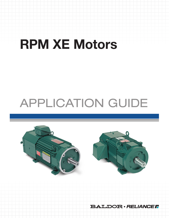# RPM XE Motors

# APPLICATION GUIDE



**BALDOR · RELIANCEF**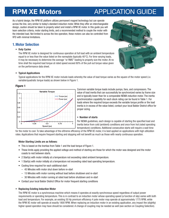## RPM XE Motors APPLICATION GUIDE

As a hybrid design, the RPM XE platform utilizes permanent magnet technology but can operate across the line, very similar to today's standard induction motor. While they offer an interchangeable design, caution should be taken to properly select and install a RPM XE motor. In this guide you will learn selection criteria, motor starting limits, and a recommended method to couple the motor with the intended load. Not limited to across the line operation, these motors can also be controlled from VFD with minimal limitations.

### 1.Motor Selection

#### • Duty Cycles

The RPM XE motor is designed for continuous operation at full load with an ambient temperature equal to or less than the value listed on the nameplate (typically  $40^{\circ}$ C). For time varying loads, it may be necessary to determine the average "or RMS" loading to properly size the motor. At no time shall the required load torque at rated speed exceed 80% of the pull out torque value given on the performance data sheet.



#### • Typical Applications

Typical applications for the RPM XE motor include loads whereby the value of load torque varies as the square of the motor speed (i.e. variable/quadratic torque loads) as shown below in Figure 1.

#### Figure 1



Common variable torque loads include pumps, fans, and compressors. The value of load inertia that can successfully be synchronized varies by frame size and is typically lower than for a comparable NEMA induction motor. The inertia synchronization capability for each stock rating can be found in Table 1. For loads where the required torque exceeds the variable torque profile or the load inertia is in excess of the value listed, contact your local Baldor District office for proper sizing.

#### • Number of starts

Per NEMA guidelines, each design is capable of starting the specified load and inertia twice from cold (ambient) conditions and once from hot (rated operating temperature) conditions. Additional consecutive starts will require a wait time

for the motor to cool. To take advantage of the eXtreme efficiency of the RPM XE motor, it is best applied on applications with high utilization rates. Applications that require frequent starting and stopping will not benefit as much as those with nearly continuous operation.

#### Motor Starting Limits are as follows:

- This is based on the Inertias from Table 1 and the load torque of Figure 1.
- These limits apply providing the applied voltage and method of starting are those for which the motor was designed and the motor coasts to rest between starts.
- 2 Start(s) with motor initially at a temperature not exceeding rated ambient temperature.
- 1 Start(s) with motor initially at a temperature not exceeding rated load operating temperature.
- Cooling time required for each additional start:
	- 45 Minutes with motor shut down before re-start
	- 15 Minutes with motor running without load before shutdown and re-start
	- 30 Minutes with motor running at rated load before shutdown and re-start
- Contact your local Baldor District Office for motor frequent starting conditions

#### • Replacing Existing Induction Motor

The RPM XE motor is a synchronous machine which means it operates at exactly synchronous speed regardless of output power requirements or operating temperature. This is in contrast to an induction motor whose operating speed (a function of slip) varies with both load and temperature. For example, an existing 50 Hp premium efficiency 4 pole motor may operate at approximately 1775 RPM, while the RPM XE motor will operate at exactly 1800 RPM. When replacing an induction motor in an existing application, any impact the (slightly) higher speed operation may have should be considered. A change of coupling may be needed as well (see section on Coupling Selection).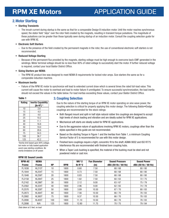## RPM XE Motors **APPLICATION GUIDE**

#### 2.Motor Starting

#### • Starting Transients

– The inrush current during startup is the same as that for a comparable Design B induction motor. Until the motor reaches synchronous speed, the stator field "slips" over the rotor field created by the magnets, resulting in transient torque pulsations. The magnitude of these pulsations can be greater than those typically seen during startup of an induction motor. Consult the coupling selection guide for use with RPM XE.

#### • Electronic Soft Starters

– Due to the presence of the field created by the permanent magnets in the rotor, the use of conventional electronic soft starters is not recommended.

#### • Reduced Voltage Starting

– Because of the permanent flux provided by the magnets, starting voltage must be high enough to overcome back-EMF generated in the windings. Motor terminal voltage should be no less than 90% of rated voltage to successfully start the motor. If further reduced voltage is required, contact your local Baldor District Office.

#### • Sizing Starters per NEMA

– The RPM XE product line was designed to meet NEMA B requirements for locked rotor amps. Size starters the same as for a comparable induction machine.

#### • Maximum Inertia

– Failure of the RPM XE motor to synchronize will lead to extended current draw which is several times the rated full-load value. This current will cause the motor to overheat and lead to motor failure if unmitigated. To ensure successful synchronization, the load inertia should not exceed the values in the table below. For load inertias exceeding these values, contact your Baldor District Office.

#### Table 1

| <b>Rating</b> | <b>Inertia Capability</b> |  |  |  |
|---------------|---------------------------|--|--|--|
|               | [lb-ft <sup>2</sup> ] $*$ |  |  |  |
| 10            | 2.6                       |  |  |  |
| 15            | 4.0                       |  |  |  |
| 20            | 4.6                       |  |  |  |
| 25            | 10.2                      |  |  |  |
| 30            | 11.1                      |  |  |  |
| 40            | 16.8                      |  |  |  |
| 50            | 19.0                      |  |  |  |
| 60            | 28.6                      |  |  |  |
| 75            | 34.5                      |  |  |  |
| 100           | 36.7                      |  |  |  |
| 125           | 42.2                      |  |  |  |

*\*Inertia limit based upon 90% voltage, hot motor on fully loaded application worst case starting conditions. No inertia limitations on AF power.*

#### 3. Coupling Selection

Due to the nature of the starting torque of an RPM XE motor operating on sine wave power, the coupling selection is critical for properly applying this motor design. The following Baldor•Dodge couplings are recommended for the stock ratings:

- Both flanged mount and split-in half style natural rubber tire couplings are designed to accept high levels of shock loading and vibration and are ideally suited for RPM XE applications.
- Mechanical soft starts are ideally suited for RPM XE applications.
- Due to the aggressive nature of applications involving RPM XE motors, couplings other than the styles specified in this guide are not recommended.
- Based on the starting Torque in Figure 1 and the Inertias from Table 1, a minimum Coupling Service Factor of 5 is recommended for use with this motor design.
- Finished bore couplings require a tight, concentric fit to the shaft. AGMA 9002 and ISO R775 Interference fits are recommended with finished bore coupling hubs.
- When a Taper Lock bushing is specified, the material of the bushing must be steel and not powdered metal or cast iron.

| <b>RPM-AC</b> | <b>NEMA</b>   |           |            | $WK^2$    | <b>Fan Diameter</b> | <b>Sound Pressure</b> | <b>Sound Power</b>  |
|---------------|---------------|-----------|------------|-----------|---------------------|-----------------------|---------------------|
| <b>Frame</b>  | <b>Frame</b>  | <b>HP</b> | <b>RPM</b> | $Ib-ft^2$ | (in)                | dBA (50 Hz / 60 Hz)   | dBA (50 Hz / 60 Hz) |
| FL1838        | <b>HL215T</b> | 10        | 1800       | 0.60      | 7.50                | 68/68                 | 80/80               |
| FL1844        | <b>HL254T</b> | 15        | 1800       | 0.73      | 7.50                | 68/68                 | 80/80               |
| FL1848        | <b>HL256T</b> | 20        | 1800       | 0.83      | 7.50                | 68/68                 | 80/80               |
| FL2158        | <b>HL284T</b> | 25        | 1800       | 1.82      | 7.50                | 60/63                 | 72/75               |
| FL2162        | <b>HL286T</b> | 30        | 1800       | 2.12      | 9.00                | 63/67                 | 75/79               |
| FL2562        | <b>HL324T</b> | 40        | 1800       | 2.96      | 9.00                | 62/65                 | 74/78               |
| FL2570        | <b>HL326T</b> | 50        | 1800       | 3.89      | 10.50               | 67/70                 | 80/83               |
| FL2873        | <b>HL364T</b> | 60        | 1800       | 7.56      | 10.50               | 66/70                 | 78/83               |
| FL2882        | <b>HL365T</b> | 75        | 1800       | 9.37      | 10.50               | 66/70                 | 78/83               |
| FL2890        | <b>HL405T</b> | 100       | 1800       | 11.10     | 10.50               | 66/70                 | 78/83               |
| FL2898        | N/A           | 125       | 1800       | 12.80     | 11.75               | 70/75                 | 79/84               |

#### RPM XE Sound Levels

*Data taken at 3 feet, no load*